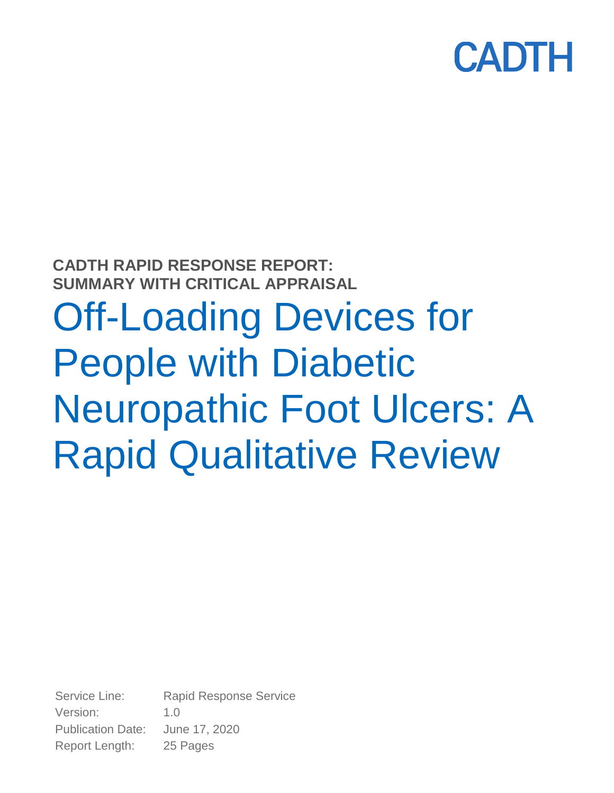

## **CADTH RAPID RESPONSE REPORT: SUMMARY WITH CRITICAL APPRAISAL** Off-Loading Devices for People with Diabetic Neuropathic Foot Ulcers: A Rapid Qualitative Review

Service Line: Rapid Response Service Version: 1.0 Publication Date: June 17, 2020 Report Length: 25 Pages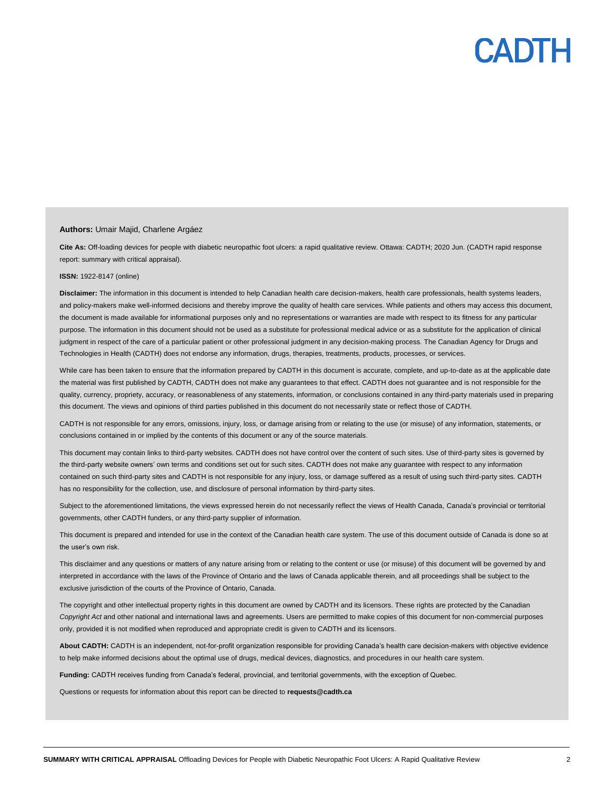### PADTH

#### **Authors:** Umair Majid, Charlene Argáez

**Cite As:** Off-loading devices for people with diabetic neuropathic foot ulcers: a rapid qualitative review. Ottawa: CADTH; 2020 Jun. (CADTH rapid response report: summary with critical appraisal).

#### **ISSN:** 1922-8147 (online)

**Disclaimer:** The information in this document is intended to help Canadian health care decision-makers, health care professionals, health systems leaders, and policy-makers make well-informed decisions and thereby improve the quality of health care services. While patients and others may access this document, the document is made available for informational purposes only and no representations or warranties are made with respect to its fitness for any particular purpose. The information in this document should not be used as a substitute for professional medical advice or as a substitute for the application of clinical judgment in respect of the care of a particular patient or other professional judgment in any decision-making process. The Canadian Agency for Drugs and Technologies in Health (CADTH) does not endorse any information, drugs, therapies, treatments, products, processes, or services.

While care has been taken to ensure that the information prepared by CADTH in this document is accurate, complete, and up-to-date as at the applicable date the material was first published by CADTH, CADTH does not make any guarantees to that effect. CADTH does not guarantee and is not responsible for the quality, currency, propriety, accuracy, or reasonableness of any statements, information, or conclusions contained in any third-party materials used in preparing this document. The views and opinions of third parties published in this document do not necessarily state or reflect those of CADTH.

CADTH is not responsible for any errors, omissions, injury, loss, or damage arising from or relating to the use (or misuse) of any information, statements, or conclusions contained in or implied by the contents of this document or any of the source materials.

This document may contain links to third-party websites. CADTH does not have control over the content of such sites. Use of third-party sites is governed by the third-party website owners' own terms and conditions set out for such sites. CADTH does not make any guarantee with respect to any information contained on such third-party sites and CADTH is not responsible for any injury, loss, or damage suffered as a result of using such third-party sites. CADTH has no responsibility for the collection, use, and disclosure of personal information by third-party sites.

Subject to the aforementioned limitations, the views expressed herein do not necessarily reflect the views of Health Canada, Canada's provincial or territorial governments, other CADTH funders, or any third-party supplier of information.

This document is prepared and intended for use in the context of the Canadian health care system. The use of this document outside of Canada is done so at the user's own risk.

This disclaimer and any questions or matters of any nature arising from or relating to the content or use (or misuse) of this document will be governed by and interpreted in accordance with the laws of the Province of Ontario and the laws of Canada applicable therein, and all proceedings shall be subject to the exclusive jurisdiction of the courts of the Province of Ontario, Canada.

The copyright and other intellectual property rights in this document are owned by CADTH and its licensors. These rights are protected by the Canadian *Copyright Act* and other national and international laws and agreements. Users are permitted to make copies of this document for non-commercial purposes only, provided it is not modified when reproduced and appropriate credit is given to CADTH and its licensors.

**About CADTH:** CADTH is an independent, not-for-profit organization responsible for providing Canada's health care decision-makers with objective evidence to help make informed decisions about the optimal use of drugs, medical devices, diagnostics, and procedures in our health care system.

**Funding:** CADTH receives funding from Canada's federal, provincial, and territorial governments, with the exception of Quebec.

Questions or requests for information about this report can be directed to **requests@cadth.ca**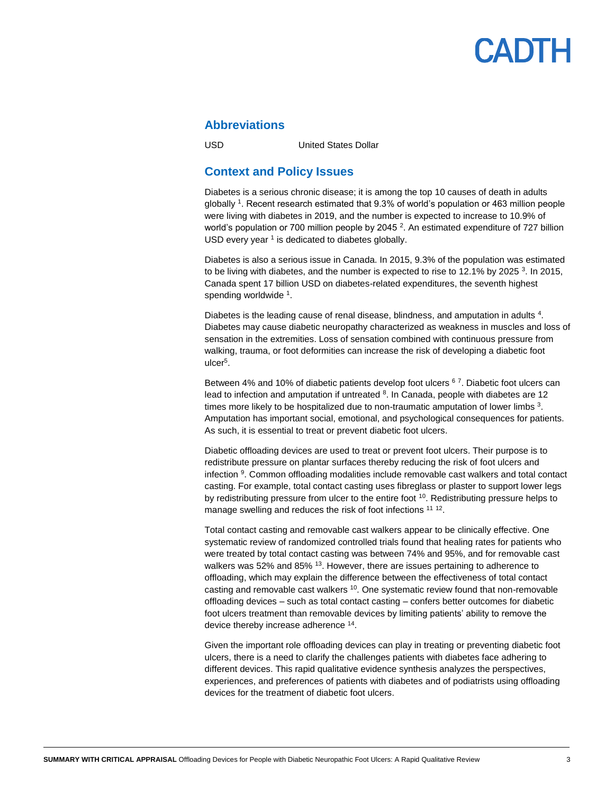#### **Abbreviations**

USD United States Dollar

#### **Context and Policy Issues**

Diabetes is a serious chronic disease; it is among the top 10 causes of death in adults globally <sup>1</sup> . Recent research estimated that 9.3% of world's population or 463 million people were living with diabetes in 2019, and the number is expected to increase to 10.9% of world's population or 700 million people by 2045<sup>2</sup>. An estimated expenditure of 727 billion USD every year  $1$  is dedicated to diabetes globally.

Diabetes is also a serious issue in Canada. In 2015, 9.3% of the population was estimated to be living with diabetes, and the number is expected to rise to 12.1% by 2025  $3$ . In 2015, Canada spent 17 billion USD on diabetes-related expenditures, the seventh highest spending worldwide <sup>1</sup>.

Diabetes is the leading cause of renal disease, blindness, and amputation in adults 4. Diabetes may cause diabetic neuropathy characterized as weakness in muscles and loss of sensation in the extremities. Loss of sensation combined with continuous pressure from walking, trauma, or foot deformities can increase the risk of developing a diabetic foot ulcer<sup>5</sup> .

Between 4% and 10% of diabetic patients develop foot ulcers <sup>67</sup>. Diabetic foot ulcers can lead to infection and amputation if untreated <sup>8</sup>. In Canada, people with diabetes are 12 times more likely to be hospitalized due to non-traumatic amputation of lower limbs  $3$ . Amputation has important social, emotional, and psychological consequences for patients. As such, it is essential to treat or prevent diabetic foot ulcers.

Diabetic offloading devices are used to treat or prevent foot ulcers. Their purpose is to redistribute pressure on plantar surfaces thereby reducing the risk of foot ulcers and infection <sup>9</sup>. Common offloading modalities include removable cast walkers and total contact casting. For example, total contact casting uses fibreglass or plaster to support lower legs by redistributing pressure from ulcer to the entire foot <sup>10</sup>. Redistributing pressure helps to manage swelling and reduces the risk of foot infections <sup>11 12</sup>.

Total contact casting and removable cast walkers appear to be clinically effective. One systematic review of randomized controlled trials found that healing rates for patients who were treated by total contact casting was between 74% and 95%, and for removable cast walkers was 52% and 85% <sup>13</sup>. However, there are issues pertaining to adherence to offloading, which may explain the difference between the effectiveness of total contact casting and removable cast walkers  $10$ . One systematic review found that non-removable offloading devices – such as total contact casting – confers better outcomes for diabetic foot ulcers treatment than removable devices by limiting patients' ability to remove the device thereby increase adherence <sup>14</sup>.

Given the important role offloading devices can play in treating or preventing diabetic foot ulcers, there is a need to clarify the challenges patients with diabetes face adhering to different devices. This rapid qualitative evidence synthesis analyzes the perspectives, experiences, and preferences of patients with diabetes and of podiatrists using offloading devices for the treatment of diabetic foot ulcers.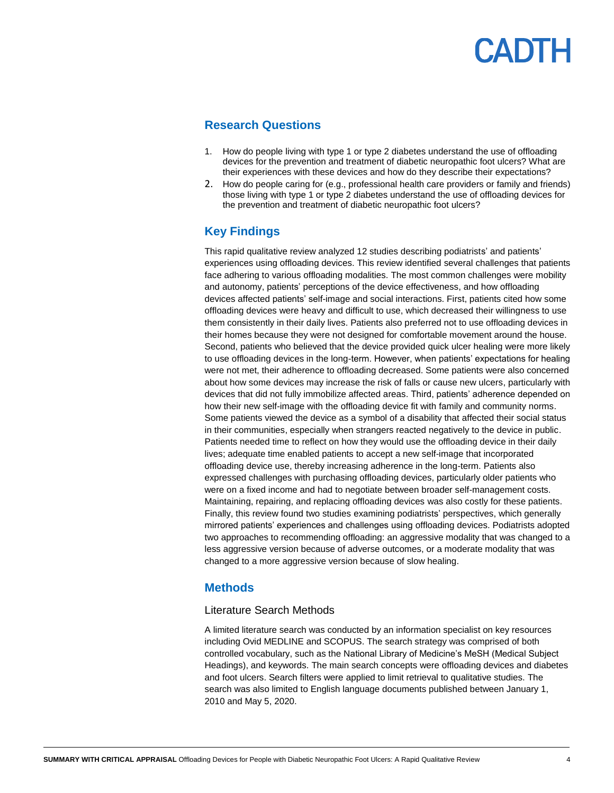#### **Research Questions**

- 1. How do people living with type 1 or type 2 diabetes understand the use of offloading devices for the prevention and treatment of diabetic neuropathic foot ulcers? What are their experiences with these devices and how do they describe their expectations?
- 2. How do people caring for (e.g., professional health care providers or family and friends) those living with type 1 or type 2 diabetes understand the use of offloading devices for the prevention and treatment of diabetic neuropathic foot ulcers?

### **Key Findings**

This rapid qualitative review analyzed 12 studies describing podiatrists' and patients' experiences using offloading devices. This review identified several challenges that patients face adhering to various offloading modalities. The most common challenges were mobility and autonomy, patients' perceptions of the device effectiveness, and how offloading devices affected patients' self-image and social interactions. First, patients cited how some offloading devices were heavy and difficult to use, which decreased their willingness to use them consistently in their daily lives. Patients also preferred not to use offloading devices in their homes because they were not designed for comfortable movement around the house. Second, patients who believed that the device provided quick ulcer healing were more likely to use offloading devices in the long-term. However, when patients' expectations for healing were not met, their adherence to offloading decreased. Some patients were also concerned about how some devices may increase the risk of falls or cause new ulcers, particularly with devices that did not fully immobilize affected areas. Third, patients' adherence depended on how their new self-image with the offloading device fit with family and community norms. Some patients viewed the device as a symbol of a disability that affected their social status in their communities, especially when strangers reacted negatively to the device in public. Patients needed time to reflect on how they would use the offloading device in their daily lives; adequate time enabled patients to accept a new self-image that incorporated offloading device use, thereby increasing adherence in the long-term. Patients also expressed challenges with purchasing offloading devices, particularly older patients who were on a fixed income and had to negotiate between broader self-management costs. Maintaining, repairing, and replacing offloading devices was also costly for these patients. Finally, this review found two studies examining podiatrists' perspectives, which generally mirrored patients' experiences and challenges using offloading devices. Podiatrists adopted two approaches to recommending offloading: an aggressive modality that was changed to a less aggressive version because of adverse outcomes, or a moderate modality that was changed to a more aggressive version because of slow healing.

### **Methods**

#### Literature Search Methods

A limited literature search was conducted by an information specialist on key resources including Ovid MEDLINE and SCOPUS. The search strategy was comprised of both controlled vocabulary, such as the National Library of Medicine's MeSH (Medical Subject Headings), and keywords. The main search concepts were offloading devices and diabetes and foot ulcers. Search filters were applied to limit retrieval to qualitative studies. The search was also limited to English language documents published between January 1, 2010 and May 5, 2020.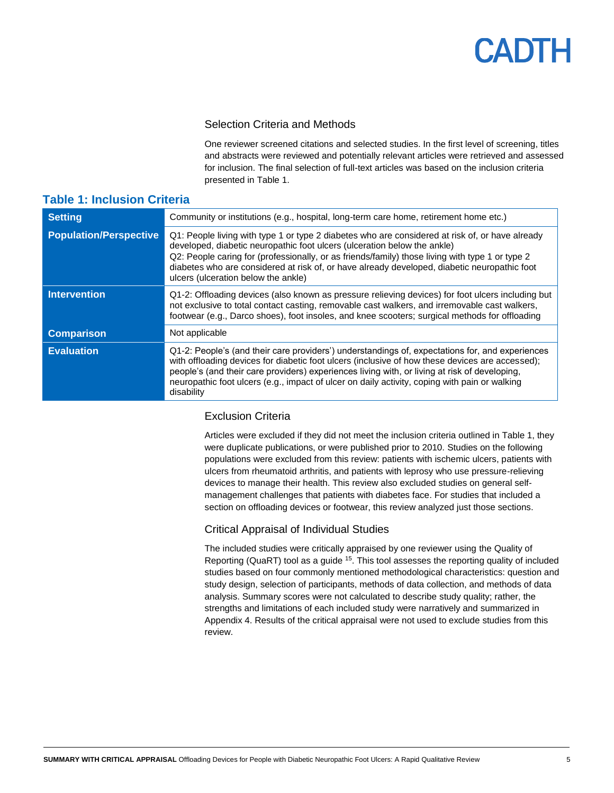#### Selection Criteria and Methods

One reviewer screened citations and selected studies. In the first level of screening, titles and abstracts were reviewed and potentially relevant articles were retrieved and assessed for inclusion. The final selection of full-text articles was based on the inclusion criteria presented in [Table 1.](#page-4-0)

#### <span id="page-4-0"></span>**Table 1: Inclusion Criteria**

| <b>Setting</b>                | Community or institutions (e.g., hospital, long-term care home, retirement home etc.)                                                                                                                                                                                                                                                                                                                                 |
|-------------------------------|-----------------------------------------------------------------------------------------------------------------------------------------------------------------------------------------------------------------------------------------------------------------------------------------------------------------------------------------------------------------------------------------------------------------------|
| <b>Population/Perspective</b> | Q1: People living with type 1 or type 2 diabetes who are considered at risk of, or have already<br>developed, diabetic neuropathic foot ulcers (ulceration below the ankle)<br>Q2: People caring for (professionally, or as friends/family) those living with type 1 or type 2<br>diabetes who are considered at risk of, or have already developed, diabetic neuropathic foot<br>ulcers (ulceration below the ankle) |
| <b>Intervention</b>           | Q1-2: Offloading devices (also known as pressure relieving devices) for foot ulcers including but<br>not exclusive to total contact casting, removable cast walkers, and irremovable cast walkers,<br>footwear (e.g., Darco shoes), foot insoles, and knee scooters; surgical methods for offloading                                                                                                                  |
| <b>Comparison</b>             | Not applicable                                                                                                                                                                                                                                                                                                                                                                                                        |
| <b>Evaluation</b>             | Q1-2: People's (and their care providers') understandings of, expectations for, and experiences<br>with offloading devices for diabetic foot ulcers (inclusive of how these devices are accessed);<br>people's (and their care providers) experiences living with, or living at risk of developing,<br>neuropathic foot ulcers (e.g., impact of ulcer on daily activity, coping with pain or walking<br>disability    |

#### Exclusion Criteria

Articles were excluded if they did not meet the inclusion criteria outlined in Table 1, they were duplicate publications, or were published prior to 2010. Studies on the following populations were excluded from this review: patients with ischemic ulcers, patients with ulcers from rheumatoid arthritis, and patients with leprosy who use pressure-relieving devices to manage their health. This review also excluded studies on general selfmanagement challenges that patients with diabetes face. For studies that included a section on offloading devices or footwear, this review analyzed just those sections.

#### Critical Appraisal of Individual Studies

The included studies were critically appraised by one reviewer using the Quality of Reporting (QuaRT) tool as a guide <sup>15</sup>. This tool assesses the reporting quality of included studies based on four commonly mentioned methodological characteristics: question and study design, selection of participants, methods of data collection, and methods of data analysis. Summary scores were not calculated to describe study quality; rather, the strengths and limitations of each included study were narratively and summarized in [Appendix 4.](#page-22-0) Results of the critical appraisal were not used to exclude studies from this review.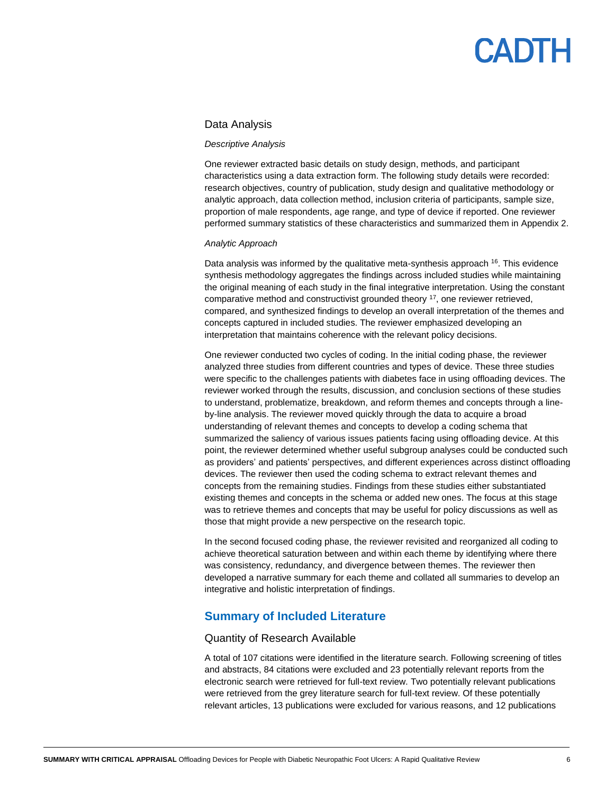#### Data Analysis

#### *Descriptive Analysis*

One reviewer extracted basic details on study design, methods, and participant characteristics using a data extraction form. The following study details were recorded: research objectives, country of publication, study design and qualitative methodology or analytic approach, data collection method, inclusion criteria of participants, sample size, proportion of male respondents, age range, and type of device if reported. One reviewer performed summary statistics of these characteristics and summarized them i[n Appendix 2.](#page-19-0)

#### *Analytic Approach*

Data analysis was informed by the qualitative meta-synthesis approach <sup>16</sup>. This evidence synthesis methodology aggregates the findings across included studies while maintaining the original meaning of each study in the final integrative interpretation. Using the constant comparative method and constructivist grounded theory <sup>17</sup>, one reviewer retrieved, compared, and synthesized findings to develop an overall interpretation of the themes and concepts captured in included studies. The reviewer emphasized developing an interpretation that maintains coherence with the relevant policy decisions.

One reviewer conducted two cycles of coding. In the initial coding phase, the reviewer analyzed three studies from different countries and types of device. These three studies were specific to the challenges patients with diabetes face in using offloading devices. The reviewer worked through the results, discussion, and conclusion sections of these studies to understand, problematize, breakdown, and reform themes and concepts through a lineby-line analysis. The reviewer moved quickly through the data to acquire a broad understanding of relevant themes and concepts to develop a coding schema that summarized the saliency of various issues patients facing using offloading device. At this point, the reviewer determined whether useful subgroup analyses could be conducted such as providers' and patients' perspectives, and different experiences across distinct offloading devices. The reviewer then used the coding schema to extract relevant themes and concepts from the remaining studies. Findings from these studies either substantiated existing themes and concepts in the schema or added new ones. The focus at this stage was to retrieve themes and concepts that may be useful for policy discussions as well as those that might provide a new perspective on the research topic.

In the second focused coding phase, the reviewer revisited and reorganized all coding to achieve theoretical saturation between and within each theme by identifying where there was consistency, redundancy, and divergence between themes. The reviewer then developed a narrative summary for each theme and collated all summaries to develop an integrative and holistic interpretation of findings.

#### **Summary of Included Literature**

#### Quantity of Research Available

A total of 107 citations were identified in the literature search. Following screening of titles and abstracts, 84 citations were excluded and 23 potentially relevant reports from the electronic search were retrieved for full-text review. Two potentially relevant publications were retrieved from the grey literature search for full-text review. Of these potentially relevant articles, 13 publications were excluded for various reasons, and 12 publications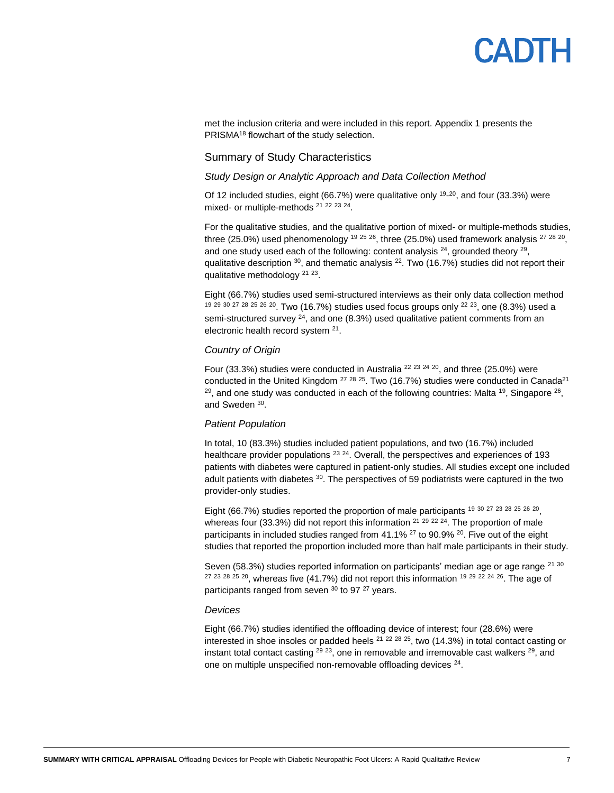met the inclusion criteria and were included in this report[. Appendix 1](#page-18-0) presents the PRISMA<sup>18</sup> flowchart of the study selection.

#### Summary of Study Characteristics

#### *Study Design or Analytic Approach and Data Collection Method*

Of 12 included studies, eight (66.7%) were qualitative only  $19-20$ , and four (33.3%) were mixed- or multiple-methods<sup>21</sup><sup>22</sup><sup>23</sup><sup>24</sup>.

For the qualitative studies, and the qualitative portion of mixed- or multiple-methods studies, three (25.0%) used phenomenology <sup>19 25</sup> <sup>26</sup>, three (25.0%) used framework analysis <sup>27 28</sup> <sup>20</sup>, and one study used each of the following: content analysis  $24$ , grounded theory  $29$ , qualitative description  $30$ , and thematic analysis  $^{22}$ . Two (16.7%) studies did not report their qualitative methodology<sup>21 23</sup>.

Eight (66.7%) studies used semi-structured interviews as their only data collection method 19 29 30 27 28 25 26 20. Two (16.7%) studies used focus groups only <sup>22 23</sup>, one (8.3%) used a semi-structured survey  $24$ , and one (8.3%) used qualitative patient comments from an electronic health record system <sup>21</sup>.

#### *Country of Origin*

Four (33.3%) studies were conducted in Australia<sup>22 23 24 20</sup>, and three (25.0%) were conducted in the United Kingdom  $27$   $28$   $25$ . Two (16.7%) studies were conducted in Canada<sup>21</sup> <sup>29</sup>, and one study was conducted in each of the following countries: Malta <sup>19</sup>, Singapore <sup>26</sup>, and Sweden <sup>30</sup>.

#### *Patient Population*

In total, 10 (83.3%) studies included patient populations, and two (16.7%) included healthcare provider populations <sup>23 24</sup>. Overall, the perspectives and experiences of 193 patients with diabetes were captured in patient-only studies. All studies except one included adult patients with diabetes <sup>30</sup>. The perspectives of 59 podiatrists were captured in the two provider-only studies.

Eight (66.7%) studies reported the proportion of male participants <sup>19 30</sup> 27 <sup>23 28</sup> <sup>26</sup> <sup>20</sup>, whereas four (33.3%) did not report this information  $21$   $29$   $22$   $24$ . The proportion of male participants in included studies ranged from  $41.1\%$  <sup>27</sup> to 90.9% <sup>20</sup>. Five out of the eight studies that reported the proportion included more than half male participants in their study.

Seven (58.3%) studies reported information on participants' median age or age range <sup>21 30</sup>  $27$   $23$   $28$   $25$   $20$ , whereas five (41.7%) did not report this information  $19$   $29$   $22$   $24$   $26$ . The age of participants ranged from seven  $30$  to 97  $27$  years.

#### *Devices*

Eight (66.7%) studies identified the offloading device of interest; four (28.6%) were interested in shoe insoles or padded heels  $21$   $22$   $28$   $25$ , two (14.3%) in total contact casting or instant total contact casting  $^{29}$   $^{23}$ , one in removable and irremovable cast walkers  $^{29}$ , and one on multiple unspecified non-removable offloading devices <sup>24</sup>.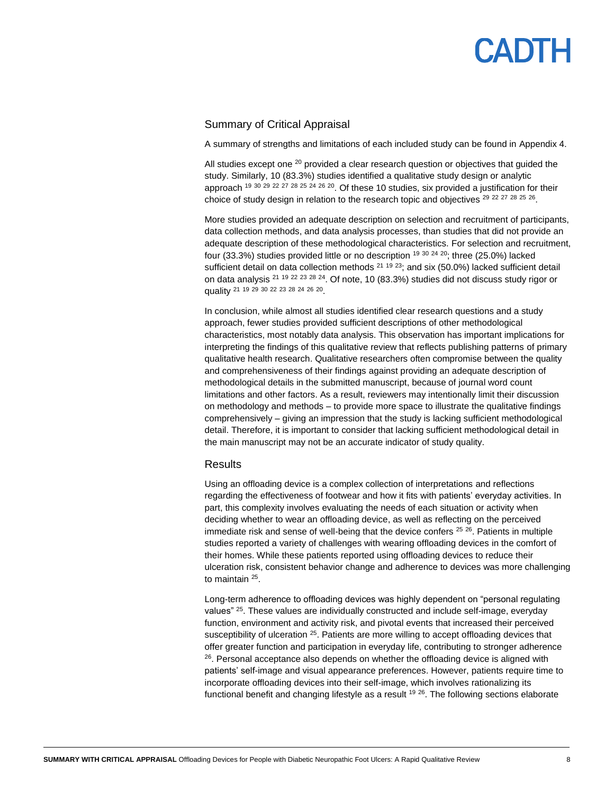# PADTH

#### Summary of Critical Appraisal

A summary of strengths and limitations of each included study can be found in [Appendix 4.](#page-22-0)

All studies except one  $20$  provided a clear research question or objectives that guided the study. Similarly, 10 (83.3%) studies identified a qualitative study design or analytic approach <sup>19 30</sup> <sup>29</sup> <sup>22</sup> <sup>27</sup> <sup>28</sup> <sup>25</sup> <sup>24</sup> <sup>26</sup> <sup>20</sup>. Of these 10 studies, six provided a justification for their choice of study design in relation to the research topic and objectives  $^{29}$   $^{22}$   $^{27}$   $^{28}$   $^{25}$   $^{26}$ .

More studies provided an adequate description on selection and recruitment of participants, data collection methods, and data analysis processes, than studies that did not provide an adequate description of these methodological characteristics. For selection and recruitment, four (33.3%) studies provided little or no description  $19\,30\,24\,20$ ; three (25.0%) lacked sufficient detail on data collection methods  $21$  19  $23$ ; and six (50.0%) lacked sufficient detail on data analysis <sup>21 19 22 23 28 24</sup>. Of note, 10 (83.3%) studies did not discuss study rigor or quality <sup>21</sup> <sup>19</sup> <sup>29</sup> <sup>30</sup> <sup>22</sup> <sup>23</sup> <sup>28</sup> <sup>24</sup> <sup>26</sup> <sup>20</sup>.

In conclusion, while almost all studies identified clear research questions and a study approach, fewer studies provided sufficient descriptions of other methodological characteristics, most notably data analysis. This observation has important implications for interpreting the findings of this qualitative review that reflects publishing patterns of primary qualitative health research. Qualitative researchers often compromise between the quality and comprehensiveness of their findings against providing an adequate description of methodological details in the submitted manuscript, because of journal word count limitations and other factors. As a result, reviewers may intentionally limit their discussion on methodology and methods – to provide more space to illustrate the qualitative findings comprehensively – giving an impression that the study is lacking sufficient methodological detail. Therefore, it is important to consider that lacking sufficient methodological detail in the main manuscript may not be an accurate indicator of study quality.

#### **Results**

Using an offloading device is a complex collection of interpretations and reflections regarding the effectiveness of footwear and how it fits with patients' everyday activities. In part, this complexity involves evaluating the needs of each situation or activity when deciding whether to wear an offloading device, as well as reflecting on the perceived immediate risk and sense of well-being that the device confers  $25\,26$ . Patients in multiple studies reported a variety of challenges with wearing offloading devices in the comfort of their homes. While these patients reported using offloading devices to reduce their ulceration risk, consistent behavior change and adherence to devices was more challenging to maintain <sup>25</sup>.

Long-term adherence to offloading devices was highly dependent on "personal regulating values" <sup>25</sup>. These values are individually constructed and include self-image, everyday function, environment and activity risk, and pivotal events that increased their perceived susceptibility of ulceration <sup>25</sup>. Patients are more willing to accept offloading devices that offer greater function and participation in everyday life, contributing to stronger adherence <sup>26</sup>. Personal acceptance also depends on whether the offloading device is aligned with patients' self-image and visual appearance preferences. However, patients require time to incorporate offloading devices into their self-image, which involves rationalizing its functional benefit and changing lifestyle as a result <sup>19 26</sup>. The following sections elaborate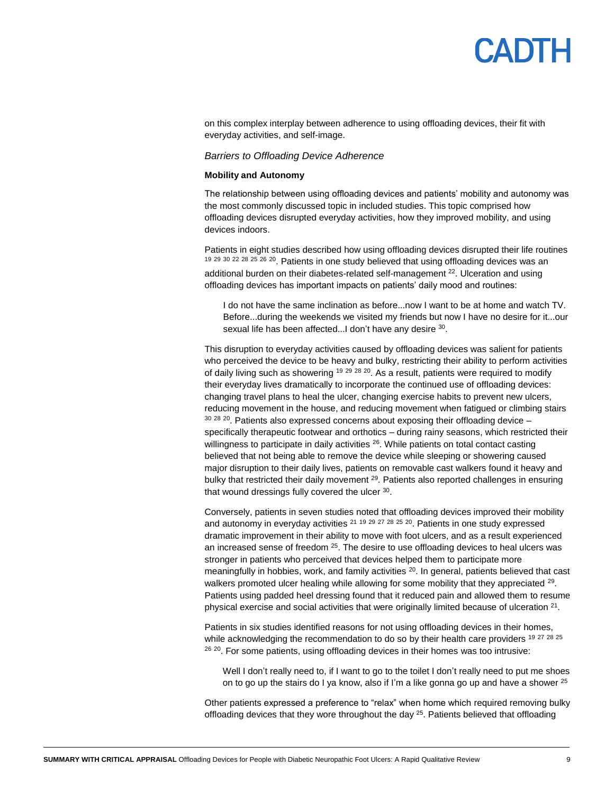### **ANTH**

on this complex interplay between adherence to using offloading devices, their fit with everyday activities, and self-image.

#### *Barriers to Offloading Device Adherence*

#### **Mobility and Autonomy**

The relationship between using offloading devices and patients' mobility and autonomy was the most commonly discussed topic in included studies. This topic comprised how offloading devices disrupted everyday activities, how they improved mobility, and using devices indoors.

Patients in eight studies described how using offloading devices disrupted their life routines <sup>19 29 30 22 28 25 26 20</sup>. Patients in one study believed that using offloading devices was an additional burden on their diabetes-related self-management <sup>22</sup>. Ulceration and using offloading devices has important impacts on patients' daily mood and routines:

I do not have the same inclination as before...now I want to be at home and watch TV. Before...during the weekends we visited my friends but now I have no desire for it...our sexual life has been affected...I don't have any desire 30.

This disruption to everyday activities caused by offloading devices was salient for patients who perceived the device to be heavy and bulky, restricting their ability to perform activities of daily living such as showering  $19^{29}$   $28^{20}$ . As a result, patients were required to modify their everyday lives dramatically to incorporate the continued use of offloading devices: changing travel plans to heal the ulcer, changing exercise habits to prevent new ulcers, reducing movement in the house, and reducing movement when fatigued or climbing stairs  $30$   $28$   $20$ . Patients also expressed concerns about exposing their offloading device  $$ specifically therapeutic footwear and orthotics – during rainy seasons, which restricted their willingness to participate in daily activities <sup>26</sup>. While patients on total contact casting believed that not being able to remove the device while sleeping or showering caused major disruption to their daily lives, patients on removable cast walkers found it heavy and bulky that restricted their daily movement <sup>29</sup>. Patients also reported challenges in ensuring that wound dressings fully covered the ulcer 30.

Conversely, patients in seven studies noted that offloading devices improved their mobility and autonomy in everyday activities <sup>21 19 29 27 28 25 20</sup>. Patients in one study expressed dramatic improvement in their ability to move with foot ulcers, and as a result experienced an increased sense of freedom  $25$ . The desire to use offloading devices to heal ulcers was stronger in patients who perceived that devices helped them to participate more meaningfully in hobbies, work, and family activities  $20$ . In general, patients believed that cast walkers promoted ulcer healing while allowing for some mobility that they appreciated <sup>29</sup>. Patients using padded heel dressing found that it reduced pain and allowed them to resume physical exercise and social activities that were originally limited because of ulceration  $21$ .

Patients in six studies identified reasons for not using offloading devices in their homes, while acknowledging the recommendation to do so by their health care providers 19 27 28 25 <sup>26 20</sup>. For some patients, using offloading devices in their homes was too intrusive:

Well I don't really need to, if I want to go to the toilet I don't really need to put me shoes on to go up the stairs do I ya know, also if I'm a like gonna go up and have a shower  $^{25}$ 

Other patients expressed a preference to "relax" when home which required removing bulky offloading devices that they wore throughout the day  $25$ . Patients believed that offloading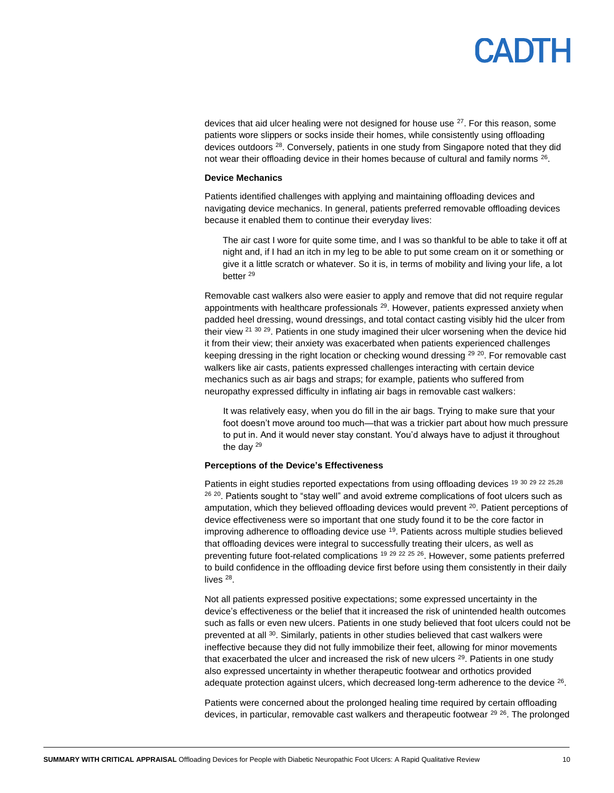### **ANTH**

devices that aid ulcer healing were not designed for house use <sup>27</sup>. For this reason, some patients wore slippers or socks inside their homes, while consistently using offloading devices outdoors <sup>28</sup>. Conversely, patients in one study from Singapore noted that they did not wear their offloading device in their homes because of cultural and family norms  $^{26}$ .

#### **Device Mechanics**

Patients identified challenges with applying and maintaining offloading devices and navigating device mechanics. In general, patients preferred removable offloading devices because it enabled them to continue their everyday lives:

The air cast I wore for quite some time, and I was so thankful to be able to take it off at night and, if I had an itch in my leg to be able to put some cream on it or something or give it a little scratch or whatever. So it is, in terms of mobility and living your life, a lot better<sup>29</sup>

Removable cast walkers also were easier to apply and remove that did not require regular appointments with healthcare professionals <sup>29</sup>. However, patients expressed anxiety when padded heel dressing, wound dressings, and total contact casting visibly hid the ulcer from their view <sup>21 30 29</sup>. Patients in one study imagined their ulcer worsening when the device hid it from their view; their anxiety was exacerbated when patients experienced challenges keeping dressing in the right location or checking wound dressing  $^{29}$   $^{20}$ . For removable cast walkers like air casts, patients expressed challenges interacting with certain device mechanics such as air bags and straps; for example, patients who suffered from neuropathy expressed difficulty in inflating air bags in removable cast walkers:

It was relatively easy, when you do fill in the air bags. Trying to make sure that your foot doesn't move around too much—that was a trickier part about how much pressure to put in. And it would never stay constant. You'd always have to adjust it throughout the day <sup>29</sup>

#### **Perceptions of the Device's Effectiveness**

Patients in eight studies reported expectations from using offloading devices <sup>19 30</sup> <sup>29</sup> <sup>22</sup> <sup>25,28</sup> <sup>26 20</sup>. Patients sought to "stay well" and avoid extreme complications of foot ulcers such as amputation, which they believed offloading devices would prevent  $20$ . Patient perceptions of device effectiveness were so important that one study found it to be the core factor in improving adherence to offloading device use <sup>19</sup>. Patients across multiple studies believed that offloading devices were integral to successfully treating their ulcers, as well as preventing future foot-related complications  $19^{29}$   $^{22}$   $^{25}$   $^{26}$ . However, some patients preferred to build confidence in the offloading device first before using them consistently in their daily lives<sup>28</sup>.

Not all patients expressed positive expectations; some expressed uncertainty in the device's effectiveness or the belief that it increased the risk of unintended health outcomes such as falls or even new ulcers. Patients in one study believed that foot ulcers could not be prevented at all <sup>30</sup>. Similarly, patients in other studies believed that cast walkers were ineffective because they did not fully immobilize their feet, allowing for minor movements that exacerbated the ulcer and increased the risk of new ulcers  $29$ . Patients in one study also expressed uncertainty in whether therapeutic footwear and orthotics provided adequate protection against ulcers, which decreased long-term adherence to the device  $^{26}$ .

Patients were concerned about the prolonged healing time required by certain offloading devices, in particular, removable cast walkers and therapeutic footwear <sup>29 26</sup>. The prolonged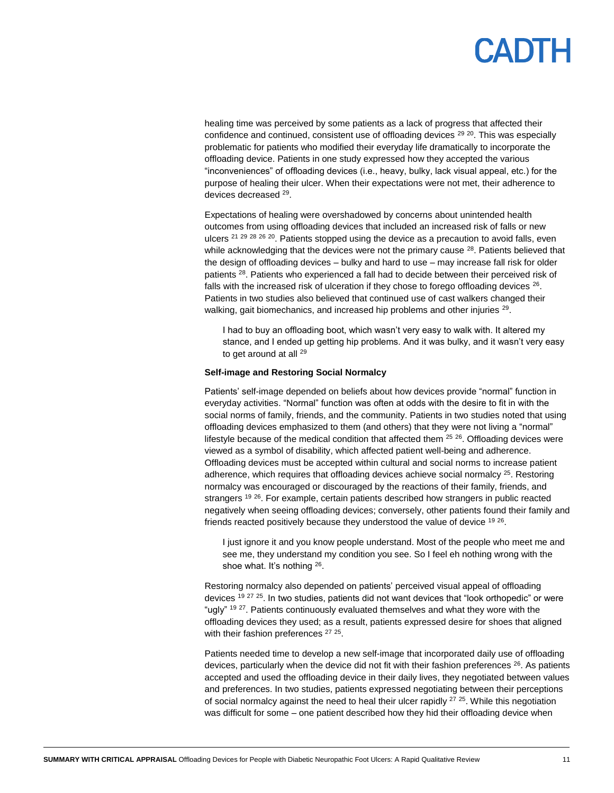### **ANTH**

healing time was perceived by some patients as a lack of progress that affected their confidence and continued, consistent use of offloading devices  $^{29}$   $^{20}$ . This was especially problematic for patients who modified their everyday life dramatically to incorporate the offloading device. Patients in one study expressed how they accepted the various "inconveniences" of offloading devices (i.e., heavy, bulky, lack visual appeal, etc.) for the purpose of healing their ulcer. When their expectations were not met, their adherence to devices decreased <sup>29</sup>.

Expectations of healing were overshadowed by concerns about unintended health outcomes from using offloading devices that included an increased risk of falls or new ulcers <sup>21 29 28 26 20</sup>. Patients stopped using the device as a precaution to avoid falls, even while acknowledging that the devices were not the primary cause  $^{28}$ . Patients believed that the design of offloading devices – bulky and hard to use – may increase fall risk for older patients <sup>28</sup>. Patients who experienced a fall had to decide between their perceived risk of falls with the increased risk of ulceration if they chose to forego offloading devices  $^{26}$ . Patients in two studies also believed that continued use of cast walkers changed their walking, gait biomechanics, and increased hip problems and other injuries <sup>29</sup>.

I had to buy an offloading boot, which wasn't very easy to walk with. It altered my stance, and I ended up getting hip problems. And it was bulky, and it wasn't very easy to get around at all <sup>29</sup>

#### **Self-image and Restoring Social Normalcy**

Patients' self-image depended on beliefs about how devices provide "normal" function in everyday activities. "Normal" function was often at odds with the desire to fit in with the social norms of family, friends, and the community. Patients in two studies noted that using offloading devices emphasized to them (and others) that they were not living a "normal" lifestyle because of the medical condition that affected them  $^{25}$   $^{26}$ . Offloading devices were viewed as a symbol of disability, which affected patient well-being and adherence. Offloading devices must be accepted within cultural and social norms to increase patient adherence, which requires that offloading devices achieve social normalcy <sup>25</sup>. Restoring normalcy was encouraged or discouraged by the reactions of their family, friends, and strangers <sup>19 26</sup>. For example, certain patients described how strangers in public reacted negatively when seeing offloading devices; conversely, other patients found their family and friends reacted positively because they understood the value of device <sup>19 26</sup>.

I just ignore it and you know people understand. Most of the people who meet me and see me, they understand my condition you see. So I feel eh nothing wrong with the shoe what. It's nothing <sup>26</sup>.

Restoring normalcy also depended on patients' perceived visual appeal of offloading devices <sup>19 27 25</sup>. In two studies, patients did not want devices that "look orthopedic" or were "ugly"  $19^{27}$ . Patients continuously evaluated themselves and what they wore with the offloading devices they used; as a result, patients expressed desire for shoes that aligned with their fashion preferences <sup>27 25</sup>.

Patients needed time to develop a new self-image that incorporated daily use of offloading devices, particularly when the device did not fit with their fashion preferences <sup>26</sup>. As patients accepted and used the offloading device in their daily lives, they negotiated between values and preferences. In two studies, patients expressed negotiating between their perceptions of social normalcy against the need to heal their ulcer rapidly  $^{27}$   $^{25}$ . While this negotiation was difficult for some – one patient described how they hid their offloading device when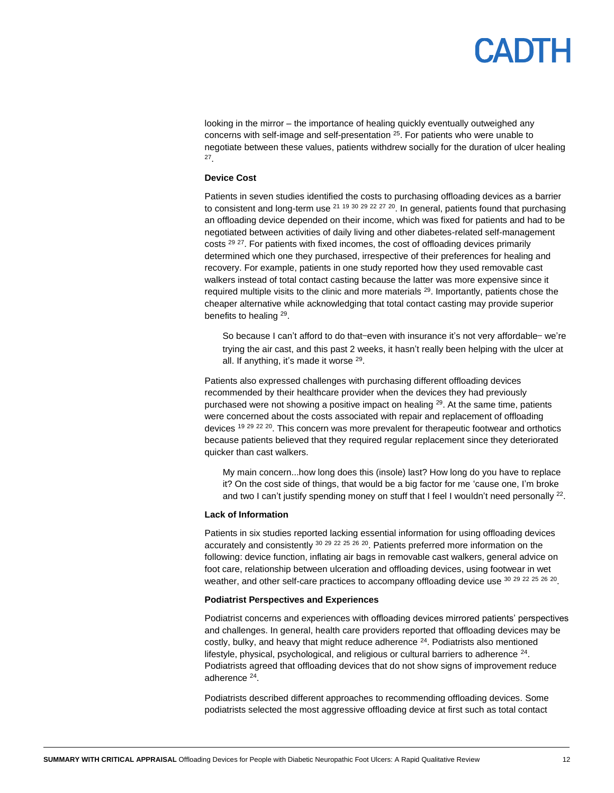## **ANTL**

looking in the mirror – the importance of healing quickly eventually outweighed any concerns with self-image and self-presentation  $25$ . For patients who were unable to negotiate between these values, patients withdrew socially for the duration of ulcer healing 27 .

#### **Device Cost**

Patients in seven studies identified the costs to purchasing offloading devices as a barrier to consistent and long-term use  $21$  19 30 29 22 27 20. In general, patients found that purchasing an offloading device depended on their income, which was fixed for patients and had to be negotiated between activities of daily living and other diabetes-related self-management costs <sup>29 27</sup>. For patients with fixed incomes, the cost of offloading devices primarily determined which one they purchased, irrespective of their preferences for healing and recovery. For example, patients in one study reported how they used removable cast walkers instead of total contact casting because the latter was more expensive since it required multiple visits to the clinic and more materials <sup>29</sup>. Importantly, patients chose the cheaper alternative while acknowledging that total contact casting may provide superior benefits to healing <sup>29</sup>.

So because I can't afford to do that—even with insurance it's not very affordable— we're trying the air cast, and this past 2 weeks, it hasn't really been helping with the ulcer at all. If anything, it's made it worse <sup>29</sup>.

Patients also expressed challenges with purchasing different offloading devices recommended by their healthcare provider when the devices they had previously purchased were not showing a positive impact on healing  $^{29}$ . At the same time, patients were concerned about the costs associated with repair and replacement of offloading devices <sup>19 29 22 <sup>20</sup>. This concern was more prevalent for therapeutic footwear and orthotics</sup> because patients believed that they required regular replacement since they deteriorated quicker than cast walkers.

My main concern...how long does this (insole) last? How long do you have to replace it? On the cost side of things, that would be a big factor for me 'cause one, I'm broke and two I can't justify spending money on stuff that I feel I wouldn't need personally <sup>22</sup>.

#### **Lack of Information**

Patients in six studies reported lacking essential information for using offloading devices accurately and consistently  $30\frac{29}{25}$   $22\frac{25}{26}$   $20$ . Patients preferred more information on the following: device function, inflating air bags in removable cast walkers, general advice on foot care, relationship between ulceration and offloading devices, using footwear in wet weather, and other self-care practices to accompany offloading device use  $30\,29\,22\,25\,26\,20$ .

#### **Podiatrist Perspectives and Experiences**

Podiatrist concerns and experiences with offloading devices mirrored patients' perspectives and challenges. In general, health care providers reported that offloading devices may be costly, bulky, and heavy that might reduce adherence <sup>24</sup>. Podiatrists also mentioned lifestyle, physical, psychological, and religious or cultural barriers to adherence <sup>24</sup>. Podiatrists agreed that offloading devices that do not show signs of improvement reduce adherence <sup>24</sup>.

Podiatrists described different approaches to recommending offloading devices. Some podiatrists selected the most aggressive offloading device at first such as total contact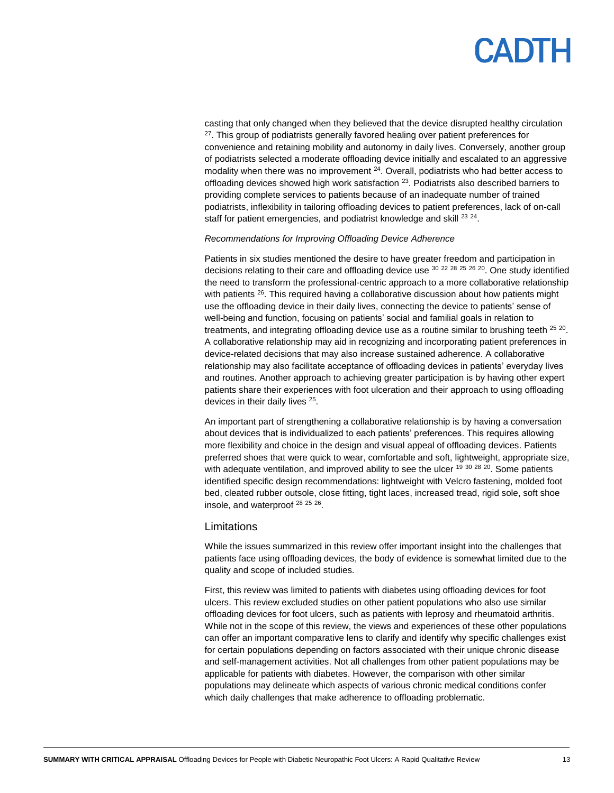## PADTH

casting that only changed when they believed that the device disrupted healthy circulation <sup>27</sup>. This group of podiatrists generally favored healing over patient preferences for convenience and retaining mobility and autonomy in daily lives. Conversely, another group of podiatrists selected a moderate offloading device initially and escalated to an aggressive modality when there was no improvement  $24$ . Overall, podiatrists who had better access to offloading devices showed high work satisfaction <sup>23</sup>. Podiatrists also described barriers to providing complete services to patients because of an inadequate number of trained podiatrists, inflexibility in tailoring offloading devices to patient preferences, lack of on-call staff for patient emergencies, and podiatrist knowledge and skill <sup>23 24</sup>.

#### *Recommendations for Improving Offloading Device Adherence*

Patients in six studies mentioned the desire to have greater freedom and participation in decisions relating to their care and offloading device use  $302228252620$ . One study identified the need to transform the professional-centric approach to a more collaborative relationship with patients <sup>26</sup>. This required having a collaborative discussion about how patients might use the offloading device in their daily lives, connecting the device to patients' sense of well-being and function, focusing on patients' social and familial goals in relation to treatments, and integrating offloading device use as a routine similar to brushing teeth  $^{25}$   $^{20}$ . A collaborative relationship may aid in recognizing and incorporating patient preferences in device-related decisions that may also increase sustained adherence. A collaborative relationship may also facilitate acceptance of offloading devices in patients' everyday lives and routines. Another approach to achieving greater participation is by having other expert patients share their experiences with foot ulceration and their approach to using offloading devices in their daily lives <sup>25</sup>.

An important part of strengthening a collaborative relationship is by having a conversation about devices that is individualized to each patients' preferences. This requires allowing more flexibility and choice in the design and visual appeal of offloading devices. Patients preferred shoes that were quick to wear, comfortable and soft, lightweight, appropriate size, with adequate ventilation, and improved ability to see the ulcer  $^{19}$   $^{30}$   $^{28}$   $^{20}$ . Some patients identified specific design recommendations: lightweight with Velcro fastening, molded foot bed, cleated rubber outsole, close fitting, tight laces, increased tread, rigid sole, soft shoe insole, and waterproof <sup>28 25 26</sup>.

#### **Limitations**

While the issues summarized in this review offer important insight into the challenges that patients face using offloading devices, the body of evidence is somewhat limited due to the quality and scope of included studies.

First, this review was limited to patients with diabetes using offloading devices for foot ulcers. This review excluded studies on other patient populations who also use similar offloading devices for foot ulcers, such as patients with leprosy and rheumatoid arthritis. While not in the scope of this review, the views and experiences of these other populations can offer an important comparative lens to clarify and identify why specific challenges exist for certain populations depending on factors associated with their unique chronic disease and self-management activities. Not all challenges from other patient populations may be applicable for patients with diabetes. However, the comparison with other similar populations may delineate which aspects of various chronic medical conditions confer which daily challenges that make adherence to offloading problematic.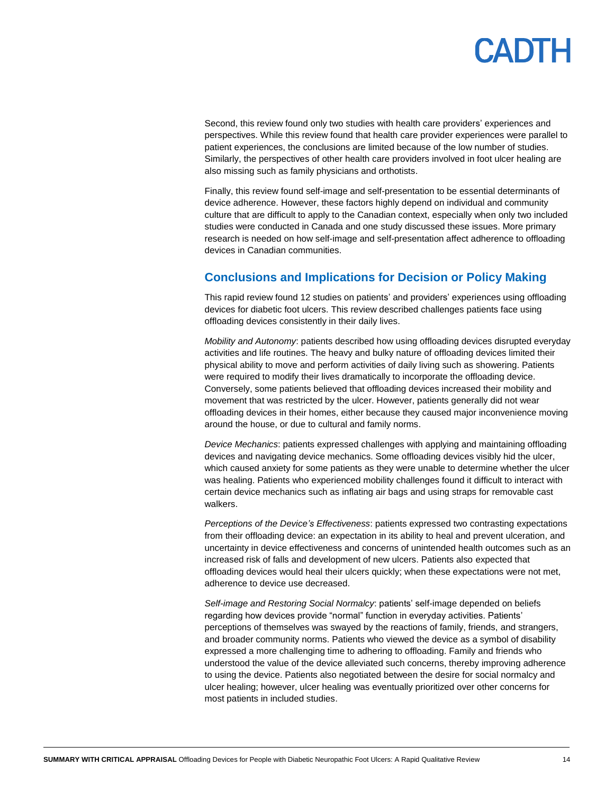Second, this review found only two studies with health care providers' experiences and perspectives. While this review found that health care provider experiences were parallel to patient experiences, the conclusions are limited because of the low number of studies. Similarly, the perspectives of other health care providers involved in foot ulcer healing are also missing such as family physicians and orthotists.

Finally, this review found self-image and self-presentation to be essential determinants of device adherence. However, these factors highly depend on individual and community culture that are difficult to apply to the Canadian context, especially when only two included studies were conducted in Canada and one study discussed these issues. More primary research is needed on how self-image and self-presentation affect adherence to offloading devices in Canadian communities.

### **Conclusions and Implications for Decision or Policy Making**

This rapid review found 12 studies on patients' and providers' experiences using offloading devices for diabetic foot ulcers. This review described challenges patients face using offloading devices consistently in their daily lives.

*Mobility and Autonomy*: patients described how using offloading devices disrupted everyday activities and life routines. The heavy and bulky nature of offloading devices limited their physical ability to move and perform activities of daily living such as showering. Patients were required to modify their lives dramatically to incorporate the offloading device. Conversely, some patients believed that offloading devices increased their mobility and movement that was restricted by the ulcer. However, patients generally did not wear offloading devices in their homes, either because they caused major inconvenience moving around the house, or due to cultural and family norms.

*Device Mechanics*: patients expressed challenges with applying and maintaining offloading devices and navigating device mechanics. Some offloading devices visibly hid the ulcer, which caused anxiety for some patients as they were unable to determine whether the ulcer was healing. Patients who experienced mobility challenges found it difficult to interact with certain device mechanics such as inflating air bags and using straps for removable cast walkers.

*Perceptions of the Device's Effectiveness*: patients expressed two contrasting expectations from their offloading device: an expectation in its ability to heal and prevent ulceration, and uncertainty in device effectiveness and concerns of unintended health outcomes such as an increased risk of falls and development of new ulcers. Patients also expected that offloading devices would heal their ulcers quickly; when these expectations were not met, adherence to device use decreased.

*Self-image and Restoring Social Normalcy*: patients' self-image depended on beliefs regarding how devices provide "normal" function in everyday activities. Patients' perceptions of themselves was swayed by the reactions of family, friends, and strangers, and broader community norms. Patients who viewed the device as a symbol of disability expressed a more challenging time to adhering to offloading. Family and friends who understood the value of the device alleviated such concerns, thereby improving adherence to using the device. Patients also negotiated between the desire for social normalcy and ulcer healing; however, ulcer healing was eventually prioritized over other concerns for most patients in included studies.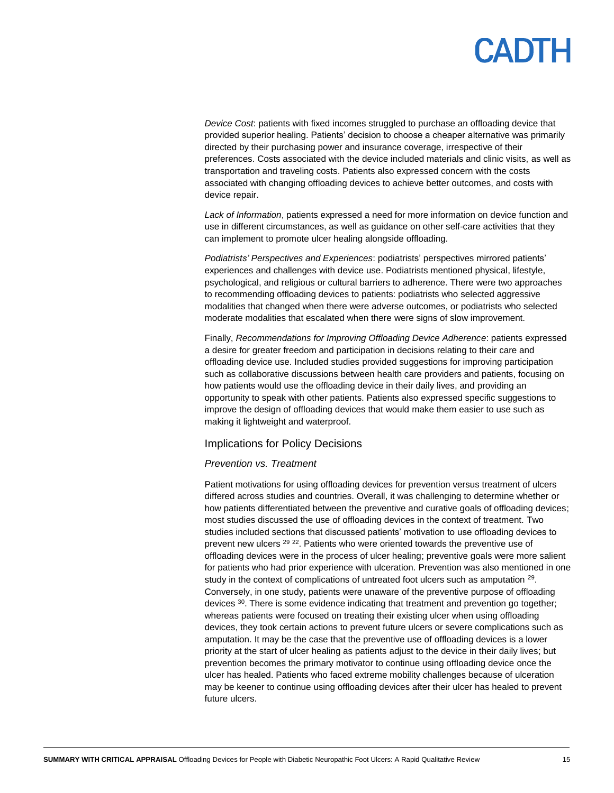*Device Cost*: patients with fixed incomes struggled to purchase an offloading device that provided superior healing. Patients' decision to choose a cheaper alternative was primarily directed by their purchasing power and insurance coverage, irrespective of their preferences. Costs associated with the device included materials and clinic visits, as well as transportation and traveling costs. Patients also expressed concern with the costs associated with changing offloading devices to achieve better outcomes, and costs with device repair.

*Lack of Information*, patients expressed a need for more information on device function and use in different circumstances, as well as guidance on other self-care activities that they can implement to promote ulcer healing alongside offloading.

*Podiatrists' Perspectives and Experiences*: podiatrists' perspectives mirrored patients' experiences and challenges with device use. Podiatrists mentioned physical, lifestyle, psychological, and religious or cultural barriers to adherence. There were two approaches to recommending offloading devices to patients: podiatrists who selected aggressive modalities that changed when there were adverse outcomes, or podiatrists who selected moderate modalities that escalated when there were signs of slow improvement.

Finally, *Recommendations for Improving Offloading Device Adherence*: patients expressed a desire for greater freedom and participation in decisions relating to their care and offloading device use. Included studies provided suggestions for improving participation such as collaborative discussions between health care providers and patients, focusing on how patients would use the offloading device in their daily lives, and providing an opportunity to speak with other patients. Patients also expressed specific suggestions to improve the design of offloading devices that would make them easier to use such as making it lightweight and waterproof.

#### Implications for Policy Decisions

#### *Prevention vs. Treatment*

Patient motivations for using offloading devices for prevention versus treatment of ulcers differed across studies and countries. Overall, it was challenging to determine whether or how patients differentiated between the preventive and curative goals of offloading devices; most studies discussed the use of offloading devices in the context of treatment. Two studies included sections that discussed patients' motivation to use offloading devices to prevent new ulcers <sup>29 22</sup>. Patients who were oriented towards the preventive use of offloading devices were in the process of ulcer healing; preventive goals were more salient for patients who had prior experience with ulceration. Prevention was also mentioned in one study in the context of complications of untreated foot ulcers such as amputation <sup>29</sup>. Conversely, in one study, patients were unaware of the preventive purpose of offloading devices <sup>30</sup>. There is some evidence indicating that treatment and prevention go together; whereas patients were focused on treating their existing ulcer when using offloading devices, they took certain actions to prevent future ulcers or severe complications such as amputation. It may be the case that the preventive use of offloading devices is a lower priority at the start of ulcer healing as patients adjust to the device in their daily lives; but prevention becomes the primary motivator to continue using offloading device once the ulcer has healed. Patients who faced extreme mobility challenges because of ulceration may be keener to continue using offloading devices after their ulcer has healed to prevent future ulcers.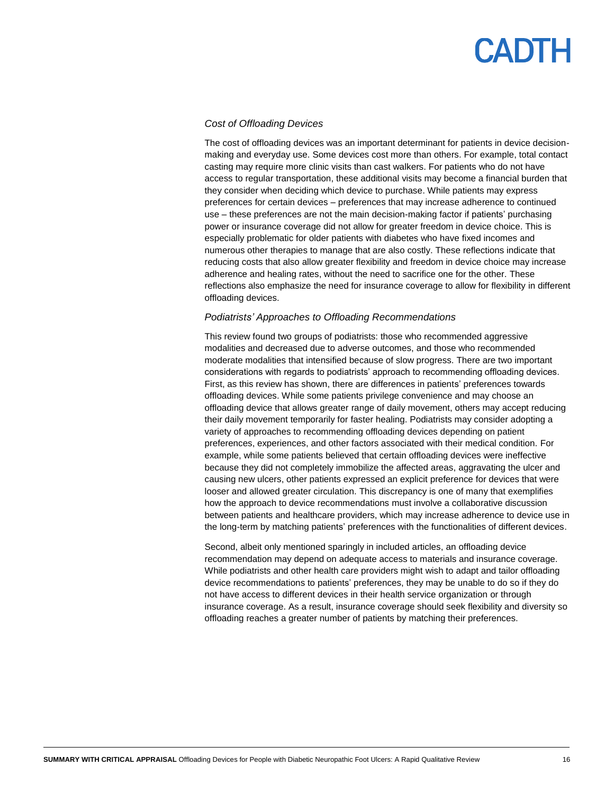#### *Cost of Offloading Devices*

The cost of offloading devices was an important determinant for patients in device decisionmaking and everyday use. Some devices cost more than others. For example, total contact casting may require more clinic visits than cast walkers. For patients who do not have access to regular transportation, these additional visits may become a financial burden that they consider when deciding which device to purchase. While patients may express preferences for certain devices – preferences that may increase adherence to continued use – these preferences are not the main decision-making factor if patients' purchasing power or insurance coverage did not allow for greater freedom in device choice. This is especially problematic for older patients with diabetes who have fixed incomes and numerous other therapies to manage that are also costly. These reflections indicate that reducing costs that also allow greater flexibility and freedom in device choice may increase adherence and healing rates, without the need to sacrifice one for the other. These reflections also emphasize the need for insurance coverage to allow for flexibility in different offloading devices.

#### *Podiatrists' Approaches to Offloading Recommendations*

This review found two groups of podiatrists: those who recommended aggressive modalities and decreased due to adverse outcomes, and those who recommended moderate modalities that intensified because of slow progress. There are two important considerations with regards to podiatrists' approach to recommending offloading devices. First, as this review has shown, there are differences in patients' preferences towards offloading devices. While some patients privilege convenience and may choose an offloading device that allows greater range of daily movement, others may accept reducing their daily movement temporarily for faster healing. Podiatrists may consider adopting a variety of approaches to recommending offloading devices depending on patient preferences, experiences, and other factors associated with their medical condition. For example, while some patients believed that certain offloading devices were ineffective because they did not completely immobilize the affected areas, aggravating the ulcer and causing new ulcers, other patients expressed an explicit preference for devices that were looser and allowed greater circulation. This discrepancy is one of many that exemplifies how the approach to device recommendations must involve a collaborative discussion between patients and healthcare providers, which may increase adherence to device use in the long-term by matching patients' preferences with the functionalities of different devices.

Second, albeit only mentioned sparingly in included articles, an offloading device recommendation may depend on adequate access to materials and insurance coverage. While podiatrists and other health care providers might wish to adapt and tailor offloading device recommendations to patients' preferences, they may be unable to do so if they do not have access to different devices in their health service organization or through insurance coverage. As a result, insurance coverage should seek flexibility and diversity so offloading reaches a greater number of patients by matching their preferences.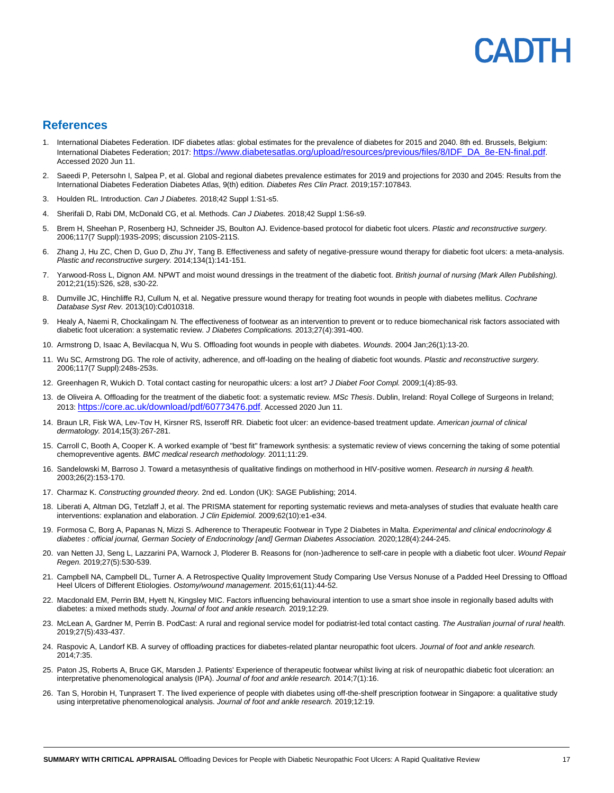### PANTE

#### **References**

- 1. International Diabetes Federation. IDF diabetes atlas: global estimates for the prevalence of diabetes for 2015 and 2040. 8th ed. Brussels, Belgium: International Diabetes Federation; 2017: [https://www.diabetesatlas.org/upload/resources/previous/files/8/IDF\\_DA\\_8e-EN-final.pdf](https://www.diabetesatlas.org/upload/resources/previous/files/8/IDF_DA_8e-EN-final.pdf). Accessed 2020 Jun 11.
- 2. Saeedi P, Petersohn I, Salpea P, et al. Global and regional diabetes prevalence estimates for 2019 and projections for 2030 and 2045: Results from the International Diabetes Federation Diabetes Atlas, 9(th) edition. *Diabetes Res Clin Pract.* 2019;157:107843.
- 3. Houlden RL. Introduction. *Can J Diabetes.* 2018;42 Suppl 1:S1-s5.
- 4. Sherifali D, Rabi DM, McDonald CG, et al. Methods. *Can J Diabetes.* 2018;42 Suppl 1:S6-s9.
- 5. Brem H, Sheehan P, Rosenberg HJ, Schneider JS, Boulton AJ. Evidence-based protocol for diabetic foot ulcers. *Plastic and reconstructive surgery.*  2006;117(7 Suppl):193S-209S; discussion 210S-211S.
- 6. Zhang J, Hu ZC, Chen D, Guo D, Zhu JY, Tang B. Effectiveness and safety of negative-pressure wound therapy for diabetic foot ulcers: a meta-analysis. *Plastic and reconstructive surgery.* 2014;134(1):141-151.
- 7. Yarwood-Ross L, Dignon AM. NPWT and moist wound dressings in the treatment of the diabetic foot. *British journal of nursing (Mark Allen Publishing).*  2012;21(15):S26, s28, s30-22.
- 8. Dumville JC, Hinchliffe RJ, Cullum N, et al. Negative pressure wound therapy for treating foot wounds in people with diabetes mellitus. *Cochrane Database Syst Rev.* 2013(10):Cd010318.
- 9. Healy A, Naemi R, Chockalingam N. The effectiveness of footwear as an intervention to prevent or to reduce biomechanical risk factors associated with diabetic foot ulceration: a systematic review. *J Diabetes Complications.* 2013;27(4):391-400.
- 10. Armstrong D, Isaac A, Bevilacqua N, Wu S. Offloading foot wounds in people with diabetes. *Wounds.* 2004 Jan;26(1):13-20.
- 11. Wu SC, Armstrong DG. The role of activity, adherence, and off-loading on the healing of diabetic foot wounds. *Plastic and reconstructive surgery.*  2006;117(7 Suppl):248s-253s.
- 12. Greenhagen R, Wukich D. Total contact casting for neuropathic ulcers: a lost art? *J Diabet Foot Compl.* 2009;1(4):85-93.
- 13. de Oliveira A. Offloading for the treatment of the diabetic foot: a systematic review. *MSc Thesis*. Dublin, Ireland: Royal College of Surgeons in Ireland; 2013: <https://core.ac.uk/download/pdf/60773476.pdf>. Accessed 2020 Jun 11.
- 14. Braun LR, Fisk WA, Lev-Tov H, Kirsner RS, Isseroff RR. Diabetic foot ulcer: an evidence-based treatment update. *American journal of clinical dermatology.* 2014;15(3):267-281.
- 15. Carroll C, Booth A, Cooper K. A worked example of "best fit" framework synthesis: a systematic review of views concerning the taking of some potential chemopreventive agents. *BMC medical research methodology.* 2011;11:29.
- 16. Sandelowski M, Barroso J. Toward a metasynthesis of qualitative findings on motherhood in HIV-positive women. *Research in nursing & health.*  2003;26(2):153-170.
- 17. Charmaz K. *Constructing grounded theory.* 2nd ed. London (UK): SAGE Publishing; 2014.
- 18. Liberati A, Altman DG, Tetzlaff J, et al. The PRISMA statement for reporting systematic reviews and meta-analyses of studies that evaluate health care interventions: explanation and elaboration. *J Clin Epidemiol.* 2009;62(10):e1-e34.
- 19. Formosa C, Borg A, Papanas N, Mizzi S. Adherence to Therapeutic Footwear in Type 2 Diabetes in Malta. *Experimental and clinical endocrinology & diabetes : official journal, German Society of Endocrinology [and] German Diabetes Association.* 2020;128(4):244-245.
- 20. van Netten JJ, Seng L, Lazzarini PA, Warnock J, Ploderer B. Reasons for (non-)adherence to self-care in people with a diabetic foot ulcer. *Wound Repair Regen.* 2019;27(5):530-539.
- 21. Campbell NA, Campbell DL, Turner A. A Retrospective Quality Improvement Study Comparing Use Versus Nonuse of a Padded Heel Dressing to Offload Heel Ulcers of Different Etiologies. *Ostomy/wound management.* 2015;61(11):44-52.
- 22. Macdonald EM, Perrin BM, Hyett N, Kingsley MIC. Factors influencing behavioural intention to use a smart shoe insole in regionally based adults with diabetes: a mixed methods study. *Journal of foot and ankle research.* 2019;12:29.
- 23. McLean A, Gardner M, Perrin B. PodCast: A rural and regional service model for podiatrist-led total contact casting. *The Australian journal of rural health.*  2019;27(5):433-437.
- 24. Raspovic A, Landorf KB. A survey of offloading practices for diabetes-related plantar neuropathic foot ulcers. *Journal of foot and ankle research.*  2014;7:35.
- 25. Paton JS, Roberts A, Bruce GK, Marsden J. Patients' Experience of therapeutic footwear whilst living at risk of neuropathic diabetic foot ulceration: an interpretative phenomenological analysis (IPA). *Journal of foot and ankle research.* 2014;7(1):16.
- 26. Tan S, Horobin H, Tunprasert T. The lived experience of people with diabetes using off-the-shelf prescription footwear in Singapore: a qualitative study using interpretative phenomenological analysis. *Journal of foot and ankle research.* 2019;12:19.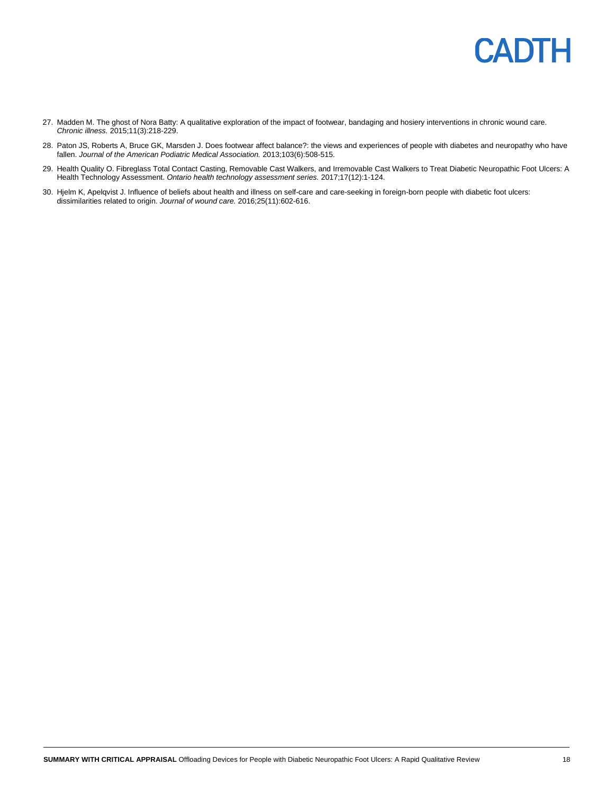

- 27. Madden M. The ghost of Nora Batty: A qualitative exploration of the impact of footwear, bandaging and hosiery interventions in chronic wound care. *Chronic illness.* 2015;11(3):218-229.
- 28. Paton JS, Roberts A, Bruce GK, Marsden J. Does footwear affect balance?: the views and experiences of people with diabetes and neuropathy who have fallen. *Journal of the American Podiatric Medical Association.* 2013;103(6):508-515.
- 29. Health Quality O. Fibreglass Total Contact Casting, Removable Cast Walkers, and Irremovable Cast Walkers to Treat Diabetic Neuropathic Foot Ulcers: A Health Technology Assessment. *Ontario health technology assessment series.* 2017;17(12):1-124.
- 30. Hjelm K, Apelqvist J. Influence of beliefs about health and illness on self-care and care-seeking in foreign-born people with diabetic foot ulcers: dissimilarities related to origin. *Journal of wound care.* 2016;25(11):602-616.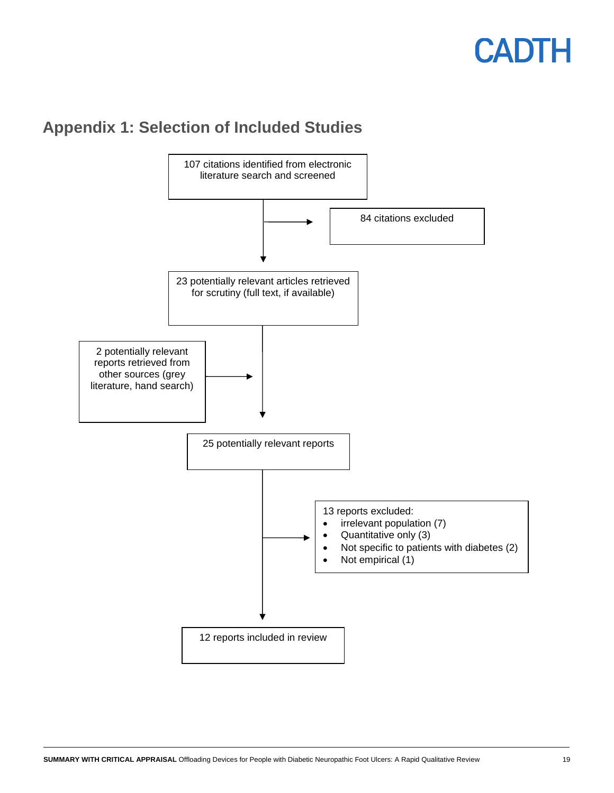### <span id="page-18-0"></span>**Appendix 1: Selection of Included Studies**

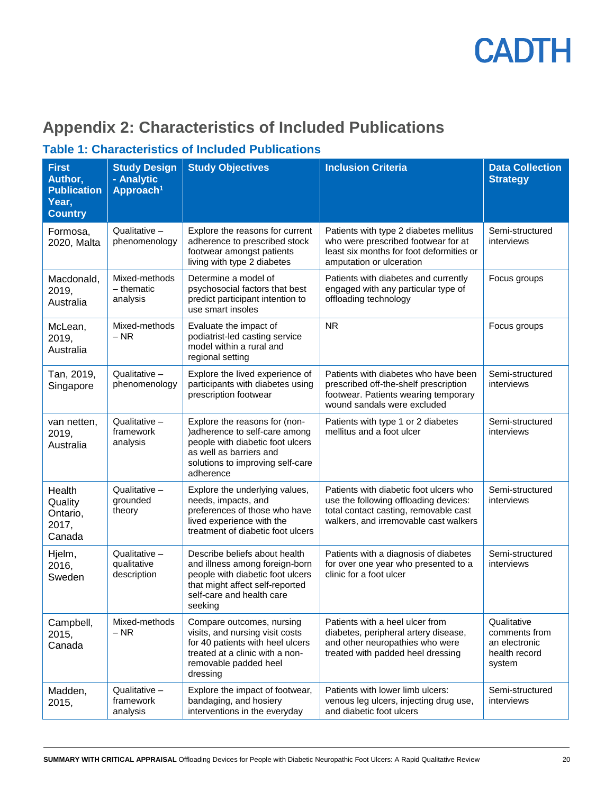

### <span id="page-19-0"></span>**Appendix 2: Characteristics of Included Publications**

### **Table 1: Characteristics of Included Publications**

| <b>First</b><br>Author,<br><b>Publication</b><br>Year,<br><b>Country</b> | <b>Study Design</b><br>- Analytic<br>Approach <sup>1</sup>                                                                                                                                                                                                                                                                                                           | <b>Study Objectives</b>                                                                                                                                                                                                                              | <b>Inclusion Criteria</b>                                                                                                                             | <b>Data Collection</b><br><b>Strategy</b>                                |
|--------------------------------------------------------------------------|----------------------------------------------------------------------------------------------------------------------------------------------------------------------------------------------------------------------------------------------------------------------------------------------------------------------------------------------------------------------|------------------------------------------------------------------------------------------------------------------------------------------------------------------------------------------------------------------------------------------------------|-------------------------------------------------------------------------------------------------------------------------------------------------------|--------------------------------------------------------------------------|
| Formosa,<br>2020, Malta                                                  | Qualitative -<br>phenomenology                                                                                                                                                                                                                                                                                                                                       | Explore the reasons for current<br>adherence to prescribed stock<br>footwear amongst patients<br>living with type 2 diabetes                                                                                                                         | Patients with type 2 diabetes mellitus<br>who were prescribed footwear for at<br>least six months for foot deformities or<br>amputation or ulceration | Semi-structured<br>interviews                                            |
| Macdonald,<br>2019,<br>Australia                                         | Mixed-methods<br>- thematic<br>analysis                                                                                                                                                                                                                                                                                                                              | Determine a model of<br>psychosocial factors that best<br>predict participant intention to<br>use smart insoles                                                                                                                                      | Patients with diabetes and currently<br>engaged with any particular type of<br>offloading technology                                                  | Focus groups                                                             |
| McLean,<br>2019,<br>Australia                                            | Mixed-methods<br>$-$ NR                                                                                                                                                                                                                                                                                                                                              | Evaluate the impact of<br>podiatrist-led casting service<br>model within a rural and<br>regional setting                                                                                                                                             | <b>NR</b><br>Focus groups                                                                                                                             |                                                                          |
| Tan, 2019,<br>Singapore                                                  | Qualitative -<br>phenomenology                                                                                                                                                                                                                                                                                                                                       | Explore the lived experience of<br>Patients with diabetes who have been<br>participants with diabetes using<br>prescribed off-the-shelf prescription<br>prescription footwear<br>footwear. Patients wearing temporary<br>wound sandals were excluded |                                                                                                                                                       | Semi-structured<br>interviews                                            |
| van netten,<br>2019,<br>Australia                                        | Qualitative -<br>framework<br>analysis                                                                                                                                                                                                                                                                                                                               | Explore the reasons for (non-<br>)adherence to self-care among<br>people with diabetic foot ulcers<br>as well as barriers and<br>solutions to improving self-care<br>adherence                                                                       | Patients with type 1 or 2 diabetes<br>mellitus and a foot ulcer                                                                                       | Semi-structured<br>interviews                                            |
| Health<br>Quality<br>Ontario,<br>2017,<br>Canada                         | Qualitative -<br>Explore the underlying values,<br>Patients with diabetic foot ulcers who<br>grounded<br>needs, impacts, and<br>use the following offloading devices:<br>total contact casting, removable cast<br>preferences of those who have<br>theory<br>lived experience with the<br>walkers, and irremovable cast walkers<br>treatment of diabetic foot ulcers |                                                                                                                                                                                                                                                      | Semi-structured<br>interviews                                                                                                                         |                                                                          |
| Hjelm,<br>2016,<br>Sweden                                                | Qualitative -<br>qualitative<br>description                                                                                                                                                                                                                                                                                                                          | Describe beliefs about health<br>and illness among foreign-born<br>people with diabetic foot ulcers<br>that might affect self-reported<br>self-care and health care<br>seeking                                                                       | Patients with a diagnosis of diabetes<br>for over one year who presented to a<br>clinic for a foot ulcer                                              | Semi-structured<br>interviews                                            |
| Campbell,<br>2015,<br>Canada                                             | Mixed-methods<br>$-$ NR                                                                                                                                                                                                                                                                                                                                              | Compare outcomes, nursing<br>visits, and nursing visit costs<br>for 40 patients with heel ulcers<br>treated at a clinic with a non-<br>removable padded heel<br>dressing                                                                             | Patients with a heel ulcer from<br>diabetes, peripheral artery disease,<br>and other neuropathies who were<br>treated with padded heel dressing       | Qualitative<br>comments from<br>an electronic<br>health record<br>system |
| Madden,<br>2015,                                                         | Qualitative -<br>framework<br>analysis                                                                                                                                                                                                                                                                                                                               | Explore the impact of footwear,<br>bandaging, and hosiery<br>interventions in the everyday                                                                                                                                                           | Patients with lower limb ulcers:<br>venous leg ulcers, injecting drug use,<br>and diabetic foot ulcers                                                | Semi-structured<br>interviews                                            |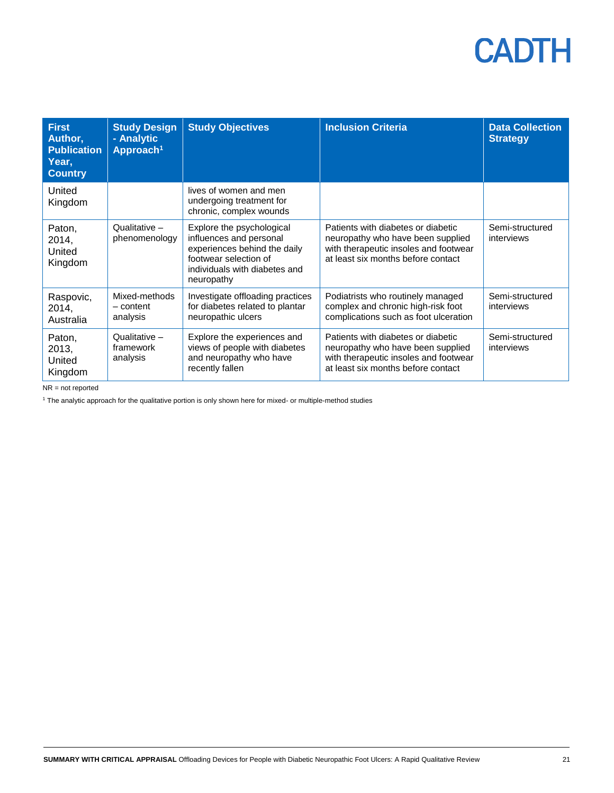| <b>First</b><br>Author,<br><b>Publication</b><br>Year,<br><b>Country</b> | <b>Study Design</b><br>- Analytic<br>Approach <sup>1</sup> | <b>Study Objectives</b>                                                                                                                                      | <b>Inclusion Criteria</b>                                                                                                                              | <b>Data Collection</b><br><b>Strategy</b> |
|--------------------------------------------------------------------------|------------------------------------------------------------|--------------------------------------------------------------------------------------------------------------------------------------------------------------|--------------------------------------------------------------------------------------------------------------------------------------------------------|-------------------------------------------|
| United<br>Kingdom                                                        |                                                            | lives of women and men<br>undergoing treatment for<br>chronic, complex wounds                                                                                |                                                                                                                                                        |                                           |
| Paton,<br>2014,<br>United<br>Kingdom                                     | Qualitative -<br>phenomenology                             | Explore the psychological<br>influences and personal<br>experiences behind the daily<br>footwear selection of<br>individuals with diabetes and<br>neuropathy | Patients with diabetes or diabetic<br>neuropathy who have been supplied<br>with therapeutic insoles and footwear<br>at least six months before contact | Semi-structured<br>interviews             |
| Raspovic,<br>2014,<br>Australia                                          | Mixed-methods<br>- content<br>analysis                     | Investigate offloading practices<br>for diabetes related to plantar<br>neuropathic ulcers                                                                    | Podiatrists who routinely managed<br>complex and chronic high-risk foot<br>complications such as foot ulceration                                       | Semi-structured<br>interviews             |
| Paton,<br>2013,<br>United<br>Kingdom                                     | Qualitative -<br>framework<br>analysis                     | Explore the experiences and<br>views of people with diabetes<br>and neuropathy who have<br>recently fallen                                                   | Patients with diabetes or diabetic<br>neuropathy who have been supplied<br>with therapeutic insoles and footwear<br>at least six months before contact | Semi-structured<br>interviews             |

NR = not reported

<sup>1</sup> The analytic approach for the qualitative portion is only shown here for mixed- or multiple-method studies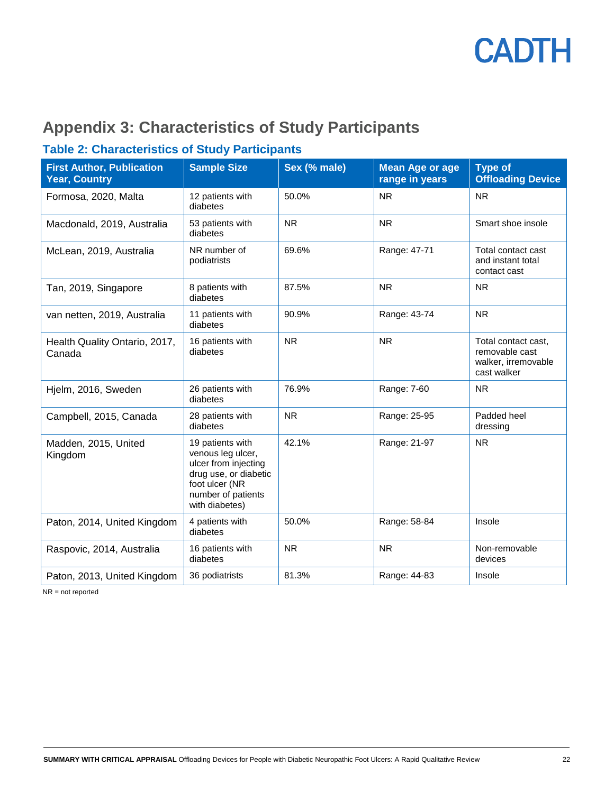

### **Appendix 3: Characteristics of Study Participants**

### **Table 2: Characteristics of Study Participants**

| <b>First Author, Publication</b><br><b>Year, Country</b> | <b>Sample Size</b>                                                                                                                               | Sex (% male) | <b>Mean Age or age</b><br>range in years | <b>Type of</b><br><b>Offloading Device</b>                                  |
|----------------------------------------------------------|--------------------------------------------------------------------------------------------------------------------------------------------------|--------------|------------------------------------------|-----------------------------------------------------------------------------|
| Formosa, 2020, Malta                                     | 12 patients with<br>diabetes                                                                                                                     | 50.0%        | <b>NR</b>                                | <b>NR</b>                                                                   |
| Macdonald, 2019, Australia                               | 53 patients with<br>diabetes                                                                                                                     | <b>NR</b>    | <b>NR</b>                                | Smart shoe insole                                                           |
| McLean, 2019, Australia                                  | NR number of<br>podiatrists                                                                                                                      | 69.6%        | Range: 47-71                             | Total contact cast<br>and instant total<br>contact cast                     |
| Tan, 2019, Singapore                                     | 8 patients with<br>diabetes                                                                                                                      | 87.5%        | <b>NR</b>                                | <b>NR</b>                                                                   |
| van netten, 2019, Australia                              | 11 patients with<br>diabetes                                                                                                                     | 90.9%        | Range: 43-74                             | <b>NR</b>                                                                   |
| Health Quality Ontario, 2017,<br>Canada                  | 16 patients with<br>diabetes                                                                                                                     | <b>NR</b>    | <b>NR</b>                                | Total contact cast,<br>removable cast<br>walker, irremovable<br>cast walker |
| Hjelm, 2016, Sweden                                      | 26 patients with<br>diabetes                                                                                                                     | 76.9%        | Range: 7-60                              | <b>NR</b>                                                                   |
| Campbell, 2015, Canada                                   | 28 patients with<br>diabetes                                                                                                                     | <b>NR</b>    | Range: 25-95                             | Padded heel<br>dressing                                                     |
| Madden, 2015, United<br>Kingdom                          | 19 patients with<br>venous leg ulcer,<br>ulcer from injecting<br>drug use, or diabetic<br>foot ulcer (NR<br>number of patients<br>with diabetes) | 42.1%        | Range: 21-97                             | <b>NR</b>                                                                   |
| Paton, 2014, United Kingdom                              | 4 patients with<br>diabetes                                                                                                                      | 50.0%        | Range: 58-84                             | Insole                                                                      |
| Raspovic, 2014, Australia                                | 16 patients with<br>diabetes                                                                                                                     | <b>NR</b>    | <b>NR</b>                                | Non-removable<br>devices                                                    |
| Paton, 2013, United Kingdom                              | 36 podiatrists                                                                                                                                   | 81.3%        | Range: 44-83                             | Insole                                                                      |

NR = not reported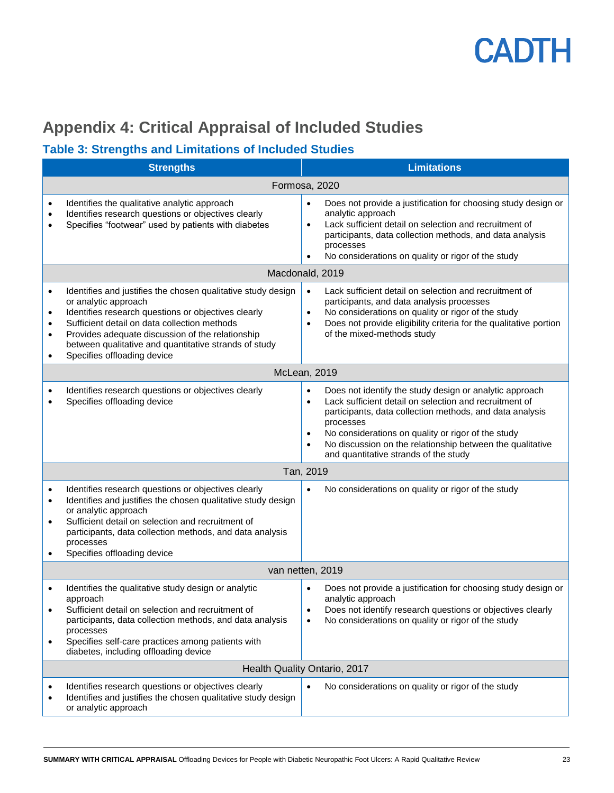

### <span id="page-22-0"></span>**Appendix 4: Critical Appraisal of Included Studies**

### **Table 3: Strengths and Limitations of Included Studies**

|                                                       | <b>Strengths</b>                                                                                                                                                                                                                                                                                                                        | <b>Limitations</b>                                                                                                                                                                                                                                                                                                                                                                            |  |  |
|-------------------------------------------------------|-----------------------------------------------------------------------------------------------------------------------------------------------------------------------------------------------------------------------------------------------------------------------------------------------------------------------------------------|-----------------------------------------------------------------------------------------------------------------------------------------------------------------------------------------------------------------------------------------------------------------------------------------------------------------------------------------------------------------------------------------------|--|--|
|                                                       | Formosa, 2020                                                                                                                                                                                                                                                                                                                           |                                                                                                                                                                                                                                                                                                                                                                                               |  |  |
| $\bullet$<br>$\bullet$<br>٠                           | Identifies the qualitative analytic approach<br>Identifies research questions or objectives clearly<br>Specifies "footwear" used by patients with diabetes                                                                                                                                                                              | Does not provide a justification for choosing study design or<br>$\bullet$<br>analytic approach<br>Lack sufficient detail on selection and recruitment of<br>$\bullet$<br>participants, data collection methods, and data analysis<br>processes<br>No considerations on quality or rigor of the study                                                                                         |  |  |
|                                                       |                                                                                                                                                                                                                                                                                                                                         | Macdonald, 2019                                                                                                                                                                                                                                                                                                                                                                               |  |  |
| $\bullet$<br>٠<br>$\bullet$<br>$\bullet$<br>$\bullet$ | Identifies and justifies the chosen qualitative study design<br>or analytic approach<br>Identifies research questions or objectives clearly<br>Sufficient detail on data collection methods<br>Provides adequate discussion of the relationship<br>between qualitative and quantitative strands of study<br>Specifies offloading device | Lack sufficient detail on selection and recruitment of<br>$\bullet$<br>participants, and data analysis processes<br>No considerations on quality or rigor of the study<br>$\bullet$<br>Does not provide eligibility criteria for the qualitative portion<br>$\bullet$<br>of the mixed-methods study                                                                                           |  |  |
|                                                       | McLean, 2019                                                                                                                                                                                                                                                                                                                            |                                                                                                                                                                                                                                                                                                                                                                                               |  |  |
| ٠<br>$\bullet$                                        | Identifies research questions or objectives clearly<br>Specifies offloading device                                                                                                                                                                                                                                                      | Does not identify the study design or analytic approach<br>Lack sufficient detail on selection and recruitment of<br>$\bullet$<br>participants, data collection methods, and data analysis<br>processes<br>No considerations on quality or rigor of the study<br>$\bullet$<br>No discussion on the relationship between the qualitative<br>$\bullet$<br>and quantitative strands of the study |  |  |
|                                                       | Tan, 2019                                                                                                                                                                                                                                                                                                                               |                                                                                                                                                                                                                                                                                                                                                                                               |  |  |
| $\bullet$<br>$\bullet$<br>$\bullet$                   | Identifies research questions or objectives clearly<br>Identifies and justifies the chosen qualitative study design<br>or analytic approach<br>Sufficient detail on selection and recruitment of<br>participants, data collection methods, and data analysis<br>processes<br>Specifies offloading device                                | No considerations on quality or rigor of the study<br>$\bullet$                                                                                                                                                                                                                                                                                                                               |  |  |
|                                                       | van netten, 2019                                                                                                                                                                                                                                                                                                                        |                                                                                                                                                                                                                                                                                                                                                                                               |  |  |
| $\bullet$<br>$\bullet$<br>$\bullet$                   | Identifies the qualitative study design or analytic<br>approach<br>Sufficient detail on selection and recruitment of<br>participants, data collection methods, and data analysis<br>processes<br>Specifies self-care practices among patients with<br>diabetes, including offloading device                                             | Does not provide a justification for choosing study design or<br>analytic approach<br>Does not identify research questions or objectives clearly<br>٠<br>No considerations on quality or rigor of the study<br>$\bullet$                                                                                                                                                                      |  |  |
|                                                       |                                                                                                                                                                                                                                                                                                                                         | Health Quality Ontario, 2017                                                                                                                                                                                                                                                                                                                                                                  |  |  |
| ٠<br>٠                                                | Identifies research questions or objectives clearly<br>Identifies and justifies the chosen qualitative study design<br>or analytic approach                                                                                                                                                                                             | No considerations on quality or rigor of the study                                                                                                                                                                                                                                                                                                                                            |  |  |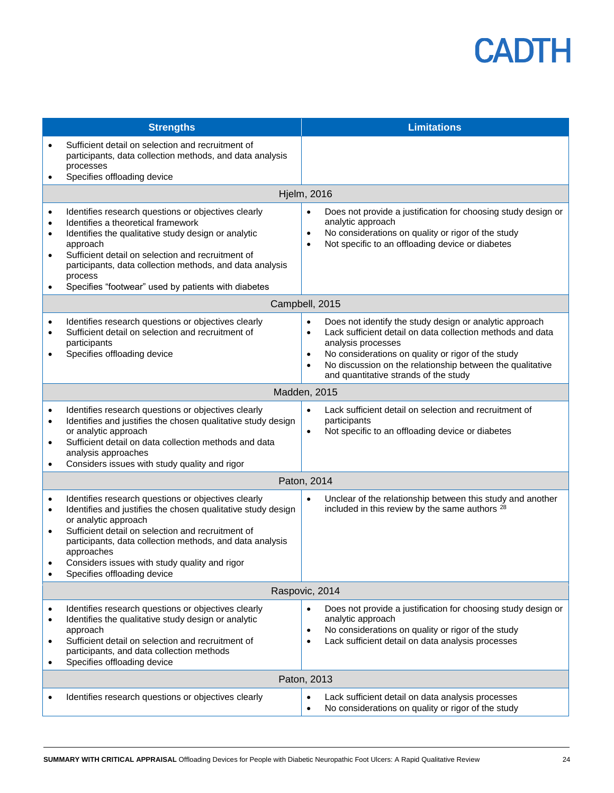|                                                               | <b>Strengths</b>                                                                                                                                                                                                                                                                                                                                           | <b>Limitations</b>                                                                                                                                                                                                                                                                                                                                          |  |
|---------------------------------------------------------------|------------------------------------------------------------------------------------------------------------------------------------------------------------------------------------------------------------------------------------------------------------------------------------------------------------------------------------------------------------|-------------------------------------------------------------------------------------------------------------------------------------------------------------------------------------------------------------------------------------------------------------------------------------------------------------------------------------------------------------|--|
|                                                               | Sufficient detail on selection and recruitment of<br>participants, data collection methods, and data analysis<br>processes<br>Specifies offloading device                                                                                                                                                                                                  |                                                                                                                                                                                                                                                                                                                                                             |  |
|                                                               |                                                                                                                                                                                                                                                                                                                                                            | <b>Hjelm, 2016</b>                                                                                                                                                                                                                                                                                                                                          |  |
| $\bullet$<br>$\bullet$<br>$\bullet$<br>$\bullet$<br>$\bullet$ | Identifies research questions or objectives clearly<br>Identifies a theoretical framework<br>Identifies the qualitative study design or analytic<br>approach<br>Sufficient detail on selection and recruitment of<br>participants, data collection methods, and data analysis<br>process<br>Specifies "footwear" used by patients with diabetes            | Does not provide a justification for choosing study design or<br>$\bullet$<br>analytic approach<br>No considerations on quality or rigor of the study<br>$\bullet$<br>Not specific to an offloading device or diabetes<br>$\bullet$                                                                                                                         |  |
|                                                               |                                                                                                                                                                                                                                                                                                                                                            | Campbell, 2015                                                                                                                                                                                                                                                                                                                                              |  |
| $\bullet$<br>$\bullet$                                        | Identifies research questions or objectives clearly<br>Sufficient detail on selection and recruitment of<br>participants<br>Specifies offloading device                                                                                                                                                                                                    | Does not identify the study design or analytic approach<br>$\bullet$<br>Lack sufficient detail on data collection methods and data<br>$\bullet$<br>analysis processes<br>No considerations on quality or rigor of the study<br>$\bullet$<br>No discussion on the relationship between the qualitative<br>$\bullet$<br>and quantitative strands of the study |  |
|                                                               | Madden, 2015                                                                                                                                                                                                                                                                                                                                               |                                                                                                                                                                                                                                                                                                                                                             |  |
| $\bullet$<br>$\bullet$<br>$\bullet$                           | Identifies research questions or objectives clearly<br>Identifies and justifies the chosen qualitative study design<br>or analytic approach<br>Sufficient detail on data collection methods and data<br>analysis approaches<br>Considers issues with study quality and rigor                                                                               | Lack sufficient detail on selection and recruitment of<br>$\bullet$<br>participants<br>Not specific to an offloading device or diabetes<br>$\bullet$                                                                                                                                                                                                        |  |
|                                                               |                                                                                                                                                                                                                                                                                                                                                            | Paton, 2014                                                                                                                                                                                                                                                                                                                                                 |  |
| $\bullet$<br>$\bullet$<br>$\bullet$                           | Identifies research questions or objectives clearly<br>Identifies and justifies the chosen qualitative study design<br>or analytic approach<br>Sufficient detail on selection and recruitment of<br>participants, data collection methods, and data analysis<br>approaches<br>Considers issues with study quality and rigor<br>Specifies offloading device | Unclear of the relationship between this study and another<br>$\bullet$<br>included in this review by the same authors <sup>28</sup>                                                                                                                                                                                                                        |  |
|                                                               | Raspovic, 2014                                                                                                                                                                                                                                                                                                                                             |                                                                                                                                                                                                                                                                                                                                                             |  |
|                                                               | Identifies research questions or objectives clearly<br>Identifies the qualitative study design or analytic<br>approach<br>Sufficient detail on selection and recruitment of<br>participants, and data collection methods<br>Specifies offloading device                                                                                                    | Does not provide a justification for choosing study design or<br>$\bullet$<br>analytic approach<br>No considerations on quality or rigor of the study<br>$\bullet$<br>Lack sufficient detail on data analysis processes<br>$\bullet$                                                                                                                        |  |
|                                                               |                                                                                                                                                                                                                                                                                                                                                            | Paton, 2013                                                                                                                                                                                                                                                                                                                                                 |  |
|                                                               | Identifies research questions or objectives clearly                                                                                                                                                                                                                                                                                                        | Lack sufficient detail on data analysis processes<br>$\bullet$<br>No considerations on quality or rigor of the study<br>$\bullet$                                                                                                                                                                                                                           |  |